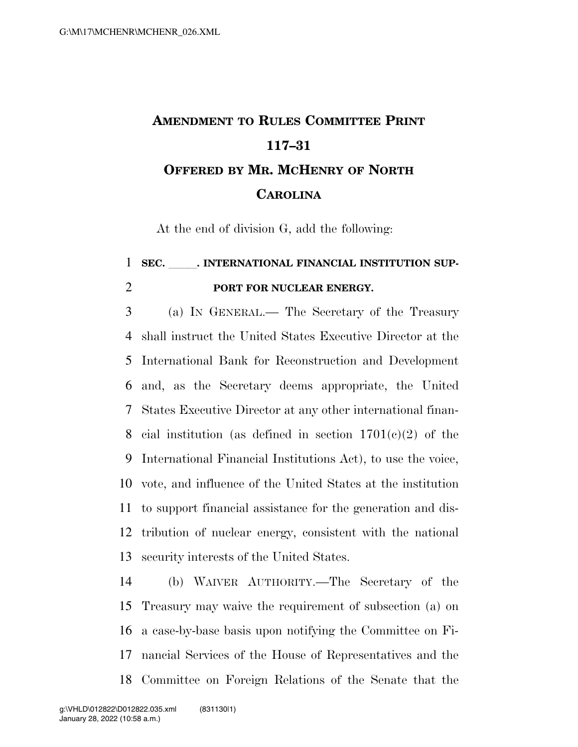## **AMENDMENT TO RULES COMMITTEE PRINT 117–31 OFFERED BY MR. MCHENRY OF NORTH CAROLINA**

At the end of division G, add the following:

## 1 SEC. INTERNATIONAL FINANCIAL INSTITUTION SUP-**PORT FOR NUCLEAR ENERGY.**

 (a) IN GENERAL.— The Secretary of the Treasury shall instruct the United States Executive Director at the International Bank for Reconstruction and Development and, as the Secretary deems appropriate, the United States Executive Director at any other international finan-8 cial institution (as defined in section  $1701(e)(2)$  of the International Financial Institutions Act), to use the voice, vote, and influence of the United States at the institution to support financial assistance for the generation and dis- tribution of nuclear energy, consistent with the national security interests of the United States.

 (b) WAIVER AUTHORITY.—The Secretary of the Treasury may waive the requirement of subsection (a) on a case-by-base basis upon notifying the Committee on Fi- nancial Services of the House of Representatives and the Committee on Foreign Relations of the Senate that the